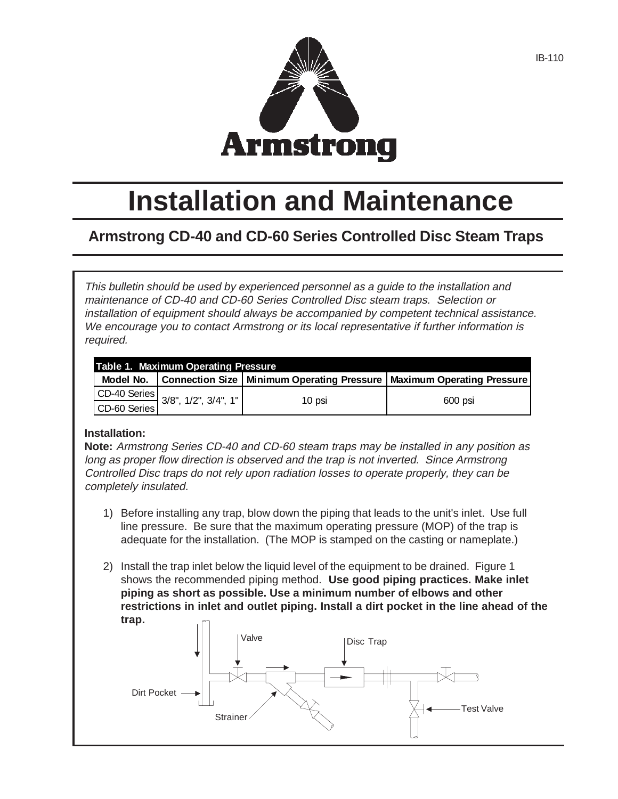

# **Installation and Maintenance**

# **Armstrong CD-40 and CD-60 Series Controlled Disc Steam Traps**

This bulletin should be used by experienced personnel as a guide to the installation and maintenance of CD-40 and CD-60 Series Controlled Disc steam traps. Selection or installation of equipment should always be accompanied by competent technical assistance. We encourage you to contact Armstrong or its local representative if further information is required.

| Table 1. Maximum Operating Pressure |                                                      |        |                                                                                       |  |  |  |  |
|-------------------------------------|------------------------------------------------------|--------|---------------------------------------------------------------------------------------|--|--|--|--|
|                                     |                                                      |        | Model No.   Connection Size   Minimum Operating Pressure   Maximum Operating Pressure |  |  |  |  |
|                                     | CD-40 Series<br>CD-60 Series<br>3/8", 1/2", 3/4", 1" | 10 psi | 600 psi                                                                               |  |  |  |  |
|                                     |                                                      |        |                                                                                       |  |  |  |  |

## **Installation:**

**Note:** Armstrong Series CD-40 and CD-60 steam traps may be installed in any position as long as proper flow direction is observed and the trap is not inverted. Since Armstrong Controlled Disc traps do not rely upon radiation losses to operate properly, they can be completely insulated.

- 1) Before installing any trap, blow down the piping that leads to the unit's inlet. Use full line pressure. Be sure that the maximum operating pressure (MOP) of the trap is adequate for the installation. (The MOP is stamped on the casting or nameplate.)
- 2) Install the trap inlet below the liquid level of the equipment to be drained. Figure 1 shows the recommended piping method. **Use good piping practices. Make inlet piping as short as possible. Use a minimum number of elbows and other restrictions in inlet and outlet piping. Install a dirt pocket in the line ahead of the trap.**

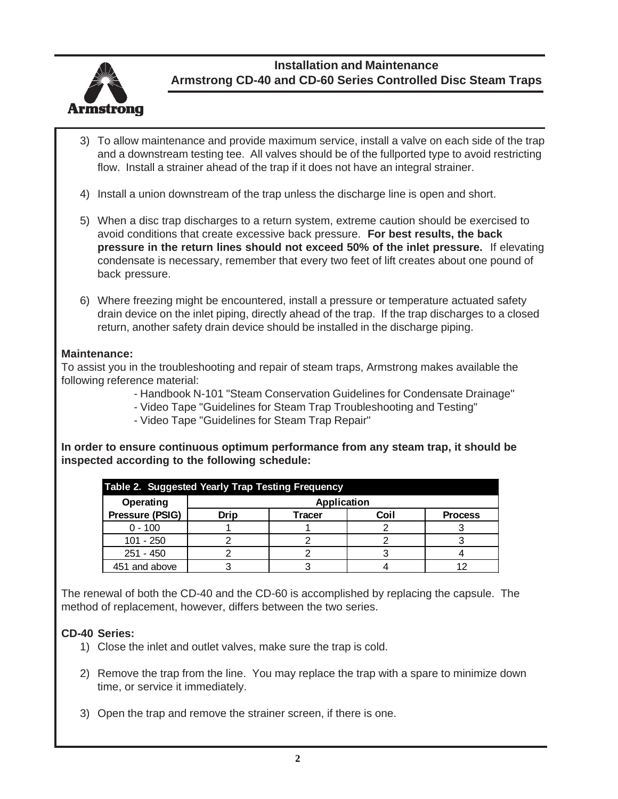

**Installation and Maintenance Armstrong CD-40 and CD-60 Series Controlled Disc Steam Traps**

- 3) To allow maintenance and provide maximum service, install a valve on each side of the trap and a downstream testing tee. All valves should be of the fullported type to avoid restricting flow. Install a strainer ahead of the trap if it does not have an integral strainer.
- 4) Install a union downstream of the trap unless the discharge line is open and short.
- 5) When a disc trap discharges to a return system, extreme caution should be exercised to avoid conditions that create excessive back pressure. **For best results, the back pressure in the return lines should not exceed 50% of the inlet pressure.** If elevating condensate is necessary, remember that every two feet of lift creates about one pound of back pressure.
- 6) Where freezing might be encountered, install a pressure or temperature actuated safety drain device on the inlet piping, directly ahead of the trap. If the trap discharges to a closed return, another safety drain device should be installed in the discharge piping.

## **Maintenance:**

To assist you in the troubleshooting and repair of steam traps, Armstrong makes available the following reference material:

- Handbook N-101 "Steam Conservation Guidelines for Condensate Drainage"
- Video Tape "Guidelines for Steam Trap Troubleshooting and Testing"
- Video Tape "Guidelines for Steam Trap Repair"

**In order to ensure continuous optimum performance from any steam trap, it should be inspected according to the following schedule:**

| Table 2. Suggested Yearly Trap Testing Frequency |             |        |      |                |  |  |
|--------------------------------------------------|-------------|--------|------|----------------|--|--|
| Operating                                        | Application |        |      |                |  |  |
| Pressure (PSIG)                                  | Drip        | Tracer | Coil | <b>Process</b> |  |  |
| $0 - 100$                                        |             |        |      |                |  |  |
| 101 - 250                                        |             |        |      |                |  |  |
| $251 - 450$                                      |             |        |      |                |  |  |
| 451 and above                                    |             |        |      |                |  |  |

The renewal of both the CD-40 and the CD-60 is accomplished by replacing the capsule. The method of replacement, however, differs between the two series.

## **CD-40 Series:**

- 1) Close the inlet and outlet valves, make sure the trap is cold.
- 2) Remove the trap from the line. You may replace the trap with a spare to minimize down time, or service it immediately.
- 3) Open the trap and remove the strainer screen, if there is one.